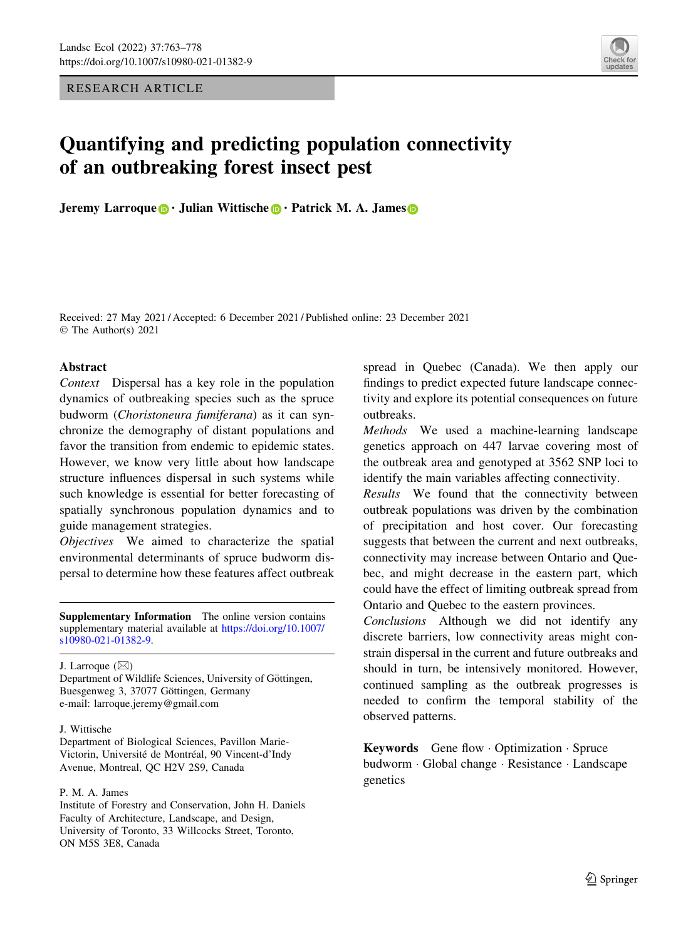RESEARCH ARTICLE



# Quantifying and predicting population connectivity of an outbreaking forest insect pest

Jeremy Larroque **.** Julian Wittische **.** Patrick M. A. James **.** 

Received: 27 May 2021 / Accepted: 6 December 2021 / Published online: 23 December 2021 © The Author(s) 2021

# Abstract

Context Dispersal has a key role in the population dynamics of outbreaking species such as the spruce budworm (Choristoneura fumiferana) as it can synchronize the demography of distant populations and favor the transition from endemic to epidemic states. However, we know very little about how landscape structure influences dispersal in such systems while such knowledge is essential for better forecasting of spatially synchronous population dynamics and to guide management strategies.

Objectives We aimed to characterize the spatial environmental determinants of spruce budworm dispersal to determine how these features affect outbreak

Supplementary Information The online version contains supplementary material available at [https://doi.org/10.1007/](https://doi.org/10.1007/s10980-021-01382-9) [s10980-021-01382-9](https://doi.org/10.1007/s10980-021-01382-9).

J. Larroque  $(\boxtimes)$ 

Department of Wildlife Sciences, University of Göttingen, Buesgenweg 3, 37077 Göttingen, Germany e-mail: larroque.jeremy@gmail.com

## J. Wittische

Department of Biological Sciences, Pavillon Marie-Victorin, Université de Montréal, 90 Vincent-d'Indy Avenue, Montreal, QC H2V 2S9, Canada

## P. M. A. James

Institute of Forestry and Conservation, John H. Daniels Faculty of Architecture, Landscape, and Design, University of Toronto, 33 Willcocks Street, Toronto, ON M5S 3E8, Canada

spread in Quebec (Canada). We then apply our findings to predict expected future landscape connectivity and explore its potential consequences on future outbreaks.

Methods We used a machine-learning landscape genetics approach on 447 larvae covering most of the outbreak area and genotyped at 3562 SNP loci to identify the main variables affecting connectivity.

Results We found that the connectivity between outbreak populations was driven by the combination of precipitation and host cover. Our forecasting suggests that between the current and next outbreaks, connectivity may increase between Ontario and Quebec, and might decrease in the eastern part, which could have the effect of limiting outbreak spread from Ontario and Quebec to the eastern provinces.

Conclusions Although we did not identify any discrete barriers, low connectivity areas might constrain dispersal in the current and future outbreaks and should in turn, be intensively monitored. However, continued sampling as the outbreak progresses is needed to confirm the temporal stability of the observed patterns.

Keywords Gene flow - Optimization - Spruce budworm - Global change - Resistance - Landscape genetics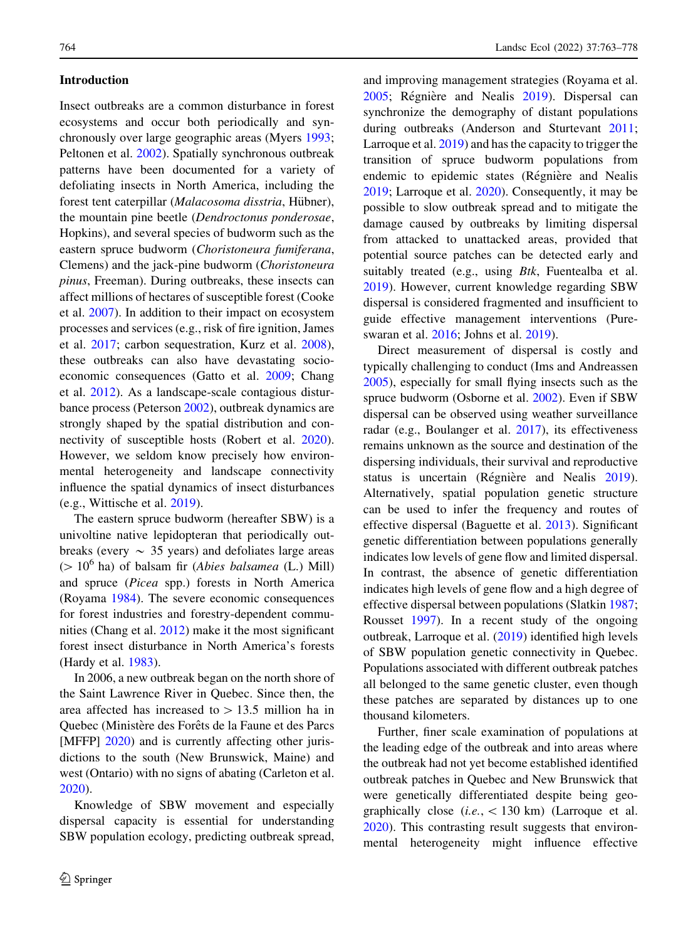# Introduction

Insect outbreaks are a common disturbance in forest ecosystems and occur both periodically and synchronously over large geographic areas (Myers [1993](#page-14-0); Peltonen et al. [2002](#page-14-0)). Spatially synchronous outbreak patterns have been documented for a variety of defoliating insects in North America, including the forest tent caterpillar (Malacosoma disstria, Hübner), the mountain pine beetle (Dendroctonus ponderosae, Hopkins), and several species of budworm such as the eastern spruce budworm (Choristoneura fumiferana, Clemens) and the jack-pine budworm (Choristoneura pinus, Freeman). During outbreaks, these insects can affect millions of hectares of susceptible forest (Cooke et al. [2007\)](#page-13-0). In addition to their impact on ecosystem processes and services (e.g., risk of fire ignition, James et al. [2017](#page-13-0); carbon sequestration, Kurz et al. [2008](#page-13-0)), these outbreaks can also have devastating socioeconomic consequences (Gatto et al. [2009](#page-13-0); Chang et al. [2012\)](#page-13-0). As a landscape-scale contagious disturbance process (Peterson [2002](#page-14-0)), outbreak dynamics are strongly shaped by the spatial distribution and connectivity of susceptible hosts (Robert et al. [2020](#page-14-0)). However, we seldom know precisely how environmental heterogeneity and landscape connectivity influence the spatial dynamics of insect disturbances (e.g., Wittische et al. [2019\)](#page-15-0).

The eastern spruce budworm (hereafter SBW) is a univoltine native lepidopteran that periodically outbreaks (every  $\sim$  35 years) and defoliates large areas ( $> 10^6$  ha) of balsam fir (*Abies balsamea* (L.) Mill) and spruce (Picea spp.) forests in North America (Royama [1984\)](#page-15-0). The severe economic consequences for forest industries and forestry-dependent communities (Chang et al. [2012](#page-13-0)) make it the most significant forest insect disturbance in North America's forests (Hardy et al. [1983](#page-13-0)).

In 2006, a new outbreak began on the north shore of the Saint Lawrence River in Quebec. Since then, the area affected has increased to  $> 13.5$  million ha in Quebec (Ministère des Forêts de la Faune et des Parcs [MFFP] [2020](#page-14-0)) and is currently affecting other jurisdictions to the south (New Brunswick, Maine) and west (Ontario) with no signs of abating (Carleton et al. [2020\)](#page-13-0).

Knowledge of SBW movement and especially dispersal capacity is essential for understanding SBW population ecology, predicting outbreak spread, and improving management strategies (Royama et al. [2005;](#page-15-0) Régnière and Nealis [2019\)](#page-14-0). Dispersal can synchronize the demography of distant populations during outbreaks (Anderson and Sturtevant [2011](#page-12-0); Larroque et al. [2019](#page-13-0)) and has the capacity to trigger the transition of spruce budworm populations from endemic to epidemic states (Régnière and Nealis [2019;](#page-14-0) Larroque et al. [2020\)](#page-13-0). Consequently, it may be possible to slow outbreak spread and to mitigate the damage caused by outbreaks by limiting dispersal from attacked to unattacked areas, provided that potential source patches can be detected early and suitably treated (e.g., using Btk, Fuentealba et al. [2019\)](#page-13-0). However, current knowledge regarding SBW dispersal is considered fragmented and insufficient to guide effective management interventions (Pureswaran et al. [2016;](#page-14-0) Johns et al. [2019](#page-13-0)).

Direct measurement of dispersal is costly and typically challenging to conduct (Ims and Andreassen [2005\)](#page-13-0), especially for small flying insects such as the spruce budworm (Osborne et al. [2002\)](#page-14-0). Even if SBW dispersal can be observed using weather surveillance radar (e.g., Boulanger et al. [2017\)](#page-12-0), its effectiveness remains unknown as the source and destination of the dispersing individuals, their survival and reproductive status is uncertain (Régnière and Nealis [2019](#page-14-0)). Alternatively, spatial population genetic structure can be used to infer the frequency and routes of effective dispersal (Baguette et al. [2013\)](#page-12-0). Significant genetic differentiation between populations generally indicates low levels of gene flow and limited dispersal. In contrast, the absence of genetic differentiation indicates high levels of gene flow and a high degree of effective dispersal between populations (Slatkin [1987;](#page-15-0) Rousset [1997](#page-14-0)). In a recent study of the ongoing outbreak, Larroque et al. [\(2019](#page-13-0)) identified high levels of SBW population genetic connectivity in Quebec. Populations associated with different outbreak patches all belonged to the same genetic cluster, even though these patches are separated by distances up to one thousand kilometers.

Further, finer scale examination of populations at the leading edge of the outbreak and into areas where the outbreak had not yet become established identified outbreak patches in Quebec and New Brunswick that were genetically differentiated despite being geographically close  $(i.e., \langle 130 \text{ km} \rangle)$  (Larroque et al. [2020\)](#page-13-0). This contrasting result suggests that environmental heterogeneity might influence effective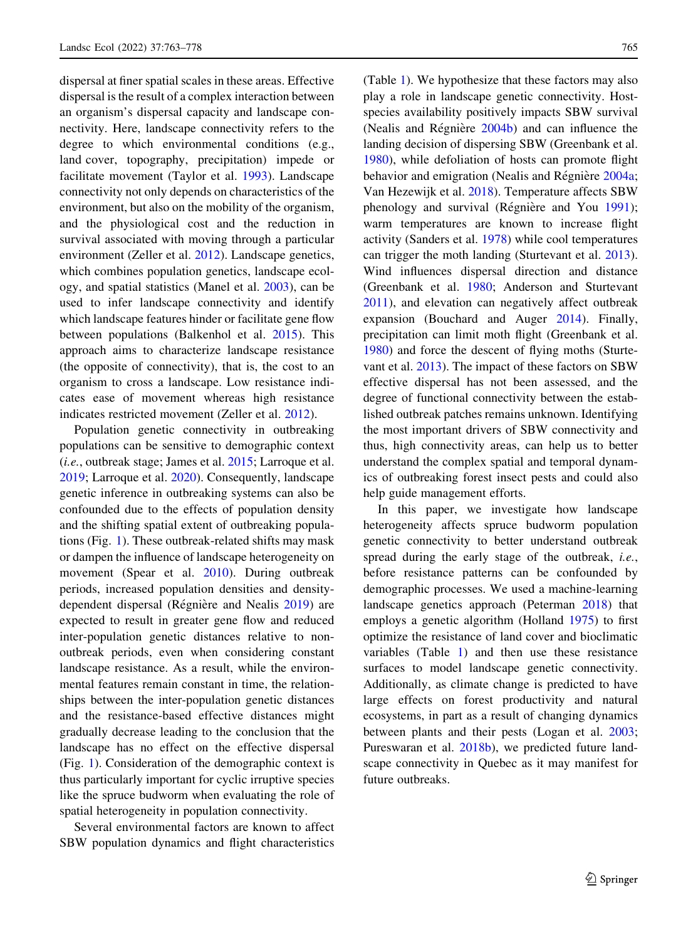dispersal at finer spatial scales in these areas. Effective dispersal is the result of a complex interaction between an organism's dispersal capacity and landscape connectivity. Here, landscape connectivity refers to the degree to which environmental conditions (e.g., land cover, topography, precipitation) impede or facilitate movement (Taylor et al. [1993\)](#page-15-0). Landscape connectivity not only depends on characteristics of the environment, but also on the mobility of the organism, and the physiological cost and the reduction in survival associated with moving through a particular environment (Zeller et al. [2012\)](#page-15-0). Landscape genetics, which combines population genetics, landscape ecology, and spatial statistics (Manel et al. [2003\)](#page-14-0), can be used to infer landscape connectivity and identify which landscape features hinder or facilitate gene flow between populations (Balkenhol et al. [2015\)](#page-12-0). This approach aims to characterize landscape resistance (the opposite of connectivity), that is, the cost to an organism to cross a landscape. Low resistance indicates ease of movement whereas high resistance indicates restricted movement (Zeller et al. [2012](#page-15-0)).

Population genetic connectivity in outbreaking populations can be sensitive to demographic context  $(i.e.,$  outbreak stage; James et al.  $2015$ ; Larroque et al. [2019;](#page-13-0) Larroque et al. [2020\)](#page-13-0). Consequently, landscape genetic inference in outbreaking systems can also be confounded due to the effects of population density and the shifting spatial extent of outbreaking populations (Fig. [1\)](#page-3-0). These outbreak-related shifts may mask or dampen the influence of landscape heterogeneity on movement (Spear et al. [2010](#page-15-0)). During outbreak periods, increased population densities and density-dependent dispersal (Régnière and Nealis [2019\)](#page-14-0) are expected to result in greater gene flow and reduced inter-population genetic distances relative to nonoutbreak periods, even when considering constant landscape resistance. As a result, while the environmental features remain constant in time, the relationships between the inter-population genetic distances and the resistance-based effective distances might gradually decrease leading to the conclusion that the landscape has no effect on the effective dispersal (Fig. [1](#page-3-0)). Consideration of the demographic context is thus particularly important for cyclic irruptive species like the spruce budworm when evaluating the role of spatial heterogeneity in population connectivity.

Several environmental factors are known to affect SBW population dynamics and flight characteristics (Table [1\)](#page-3-0). We hypothesize that these factors may also play a role in landscape genetic connectivity. Hostspecies availability positively impacts SBW survival (Nealis and Régnière  $2004b$ ) and can influence the landing decision of dispersing SBW (Greenbank et al. [1980\)](#page-13-0), while defoliation of hosts can promote flight behavior and emigration (Nealis and Régnière [2004a;](#page-14-0) Van Hezewijk et al. [2018](#page-15-0)). Temperature affects SBW phenology and survival (Régnière and You  $1991$ ); warm temperatures are known to increase flight activity (Sanders et al. [1978\)](#page-15-0) while cool temperatures can trigger the moth landing (Sturtevant et al. [2013](#page-15-0)). Wind influences dispersal direction and distance (Greenbank et al. [1980](#page-13-0); Anderson and Sturtevant [2011\)](#page-12-0), and elevation can negatively affect outbreak expansion (Bouchard and Auger [2014](#page-12-0)). Finally, precipitation can limit moth flight (Greenbank et al. [1980\)](#page-13-0) and force the descent of flying moths (Sturtevant et al. [2013\)](#page-15-0). The impact of these factors on SBW effective dispersal has not been assessed, and the degree of functional connectivity between the established outbreak patches remains unknown. Identifying the most important drivers of SBW connectivity and thus, high connectivity areas, can help us to better understand the complex spatial and temporal dynamics of outbreaking forest insect pests and could also help guide management efforts.

In this paper, we investigate how landscape heterogeneity affects spruce budworm population genetic connectivity to better understand outbreak spread during the early stage of the outbreak, i.e., before resistance patterns can be confounded by demographic processes. We used a machine-learning landscape genetics approach (Peterman [2018\)](#page-14-0) that employs a genetic algorithm (Holland [1975](#page-13-0)) to first optimize the resistance of land cover and bioclimatic variables (Table [1\)](#page-3-0) and then use these resistance surfaces to model landscape genetic connectivity. Additionally, as climate change is predicted to have large effects on forest productivity and natural ecosystems, in part as a result of changing dynamics between plants and their pests (Logan et al. [2003](#page-14-0); Pureswaran et al. [2018b](#page-14-0)), we predicted future landscape connectivity in Quebec as it may manifest for future outbreaks.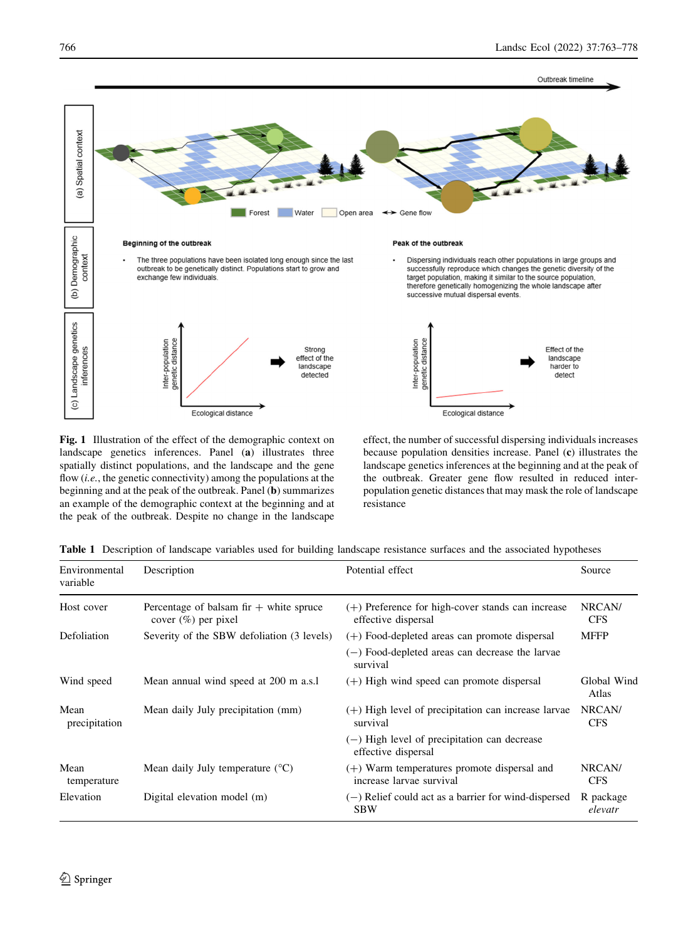<span id="page-3-0"></span>

Fig. 1 Illustration of the effect of the demographic context on landscape genetics inferences. Panel (a) illustrates three spatially distinct populations, and the landscape and the gene flow (*i.e.*, the genetic connectivity) among the populations at the beginning and at the peak of the outbreak. Panel (b) summarizes an example of the demographic context at the beginning and at the peak of the outbreak. Despite no change in the landscape

effect, the number of successful dispersing individuals increases because population densities increase. Panel (c) illustrates the landscape genetics inferences at the beginning and at the peak of the outbreak. Greater gene flow resulted in reduced interpopulation genetic distances that may mask the role of landscape resistance

|  |  | Table 1 Description of landscape variables used for building landscape resistance surfaces and the associated hypotheses |  |  |  |  |  |  |  |  |  |
|--|--|--------------------------------------------------------------------------------------------------------------------------|--|--|--|--|--|--|--|--|--|
|--|--|--------------------------------------------------------------------------------------------------------------------------|--|--|--|--|--|--|--|--|--|

| Environmental<br>variable | Description                                                         | Potential effect                                                           | Source               |
|---------------------------|---------------------------------------------------------------------|----------------------------------------------------------------------------|----------------------|
| Host cover                | Percentage of balsam fir $+$ white spruce<br>cover $(\%)$ per pixel | $(+)$ Preference for high-cover stands can increase<br>effective dispersal | NRCAN/<br><b>CFS</b> |
| Defoliation               | Severity of the SBW defoliation (3 levels)                          | $(+)$ Food-depleted areas can promote dispersal                            | <b>MFFP</b>          |
|                           |                                                                     | $(-)$ Food-depleted areas can decrease the larvae<br>survival              |                      |
| Wind speed                | Mean annual wind speed at 200 m a.s.l                               | $(+)$ High wind speed can promote dispersal                                | Global Wind<br>Atlas |
| Mean<br>precipitation     | Mean daily July precipitation (mm)                                  | $(+)$ High level of precipitation can increase larvae<br>survival          | NRCAN/<br><b>CFS</b> |
|                           |                                                                     | $(-)$ High level of precipitation can decrease<br>effective dispersal      |                      |
| Mean<br>temperature       | Mean daily July temperature $(^{\circ}C)$                           | $(+)$ Warm temperatures promote dispersal and<br>increase larvae survival  | NRCAN/<br><b>CFS</b> |
| Elevation                 | Digital elevation model (m)                                         | $(-)$ Relief could act as a barrier for wind-dispersed<br><b>SBW</b>       | R package<br>elevatr |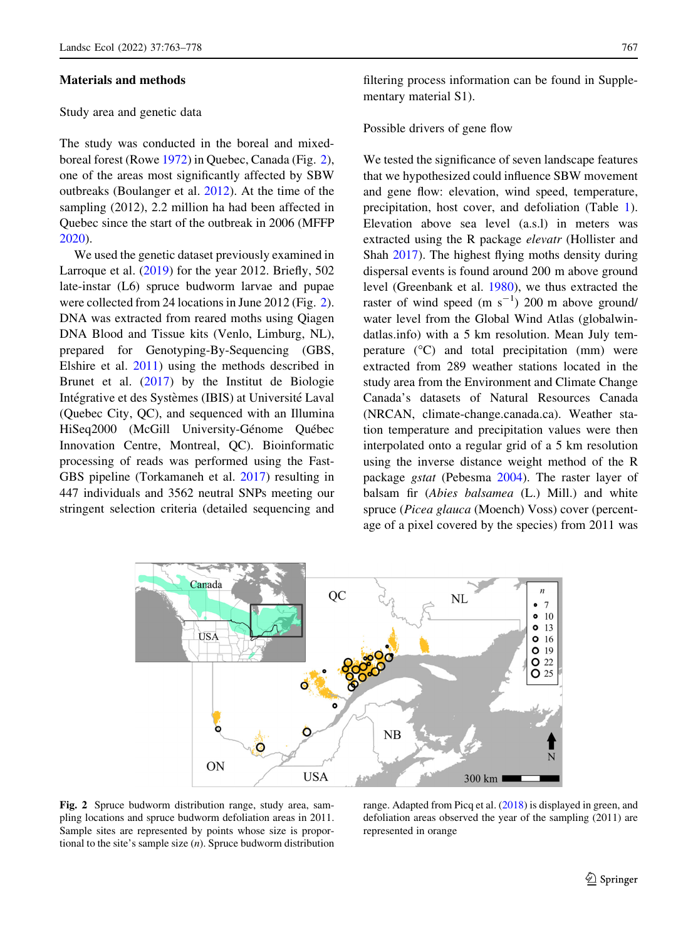# Materials and methods

#### Study area and genetic data

The study was conducted in the boreal and mixedboreal forest (Rowe [1972](#page-15-0)) in Quebec, Canada (Fig. 2), one of the areas most significantly affected by SBW outbreaks (Boulanger et al. [2012](#page-12-0)). At the time of the sampling (2012), 2.2 million ha had been affected in Quebec since the start of the outbreak in 2006 (MFFP [2020\)](#page-14-0).

We used the genetic dataset previously examined in Larroque et al. ([2019\)](#page-13-0) for the year 2012. Briefly, 502 late-instar (L6) spruce budworm larvae and pupae were collected from 24 locations in June 2012 (Fig. 2). DNA was extracted from reared moths using Qiagen DNA Blood and Tissue kits (Venlo, Limburg, NL), prepared for Genotyping-By-Sequencing (GBS, Elshire et al. [2011](#page-13-0)) using the methods described in Brunet et al. [\(2017](#page-12-0)) by the Institut de Biologie Intégrative et des Systèmes (IBIS) at Université Laval (Quebec City, QC), and sequenced with an Illumina HiSeq2000 (McGill University-Génome Québec Innovation Centre, Montreal, QC). Bioinformatic processing of reads was performed using the Fast-GBS pipeline (Torkamaneh et al. [2017](#page-15-0)) resulting in 447 individuals and 3562 neutral SNPs meeting our stringent selection criteria (detailed sequencing and filtering process information can be found in Supplementary material S1).

## Possible drivers of gene flow

We tested the significance of seven landscape features that we hypothesized could influence SBW movement and gene flow: elevation, wind speed, temperature, precipitation, host cover, and defoliation (Table [1](#page-3-0)). Elevation above sea level (a.s.l) in meters was extracted using the R package elevatr (Hollister and Shah [2017](#page-13-0)). The highest flying moths density during dispersal events is found around 200 m above ground level (Greenbank et al. [1980\)](#page-13-0), we thus extracted the raster of wind speed  $(m s<sup>-1</sup>)$  200 m above ground/ water level from the Global Wind Atlas (globalwindatlas.info) with a 5 km resolution. Mean July temperature  $(^{\circ}C)$  and total precipitation (mm) were extracted from 289 weather stations located in the study area from the Environment and Climate Change Canada's datasets of Natural Resources Canada (NRCAN, climate-change.canada.ca). Weather station temperature and precipitation values were then interpolated onto a regular grid of a 5 km resolution using the inverse distance weight method of the R package gstat (Pebesma [2004\)](#page-14-0). The raster layer of balsam fir (Abies balsamea (L.) Mill.) and white spruce (Picea glauca (Moench) Voss) cover (percentage of a pixel covered by the species) from 2011 was



Fig. 2 Spruce budworm distribution range, study area, sampling locations and spruce budworm defoliation areas in 2011. Sample sites are represented by points whose size is proportional to the site's sample size (n). Spruce budworm distribution

range. Adapted from Picq et al. ([2018\)](#page-14-0) is displayed in green, and defoliation areas observed the year of the sampling (2011) are represented in orange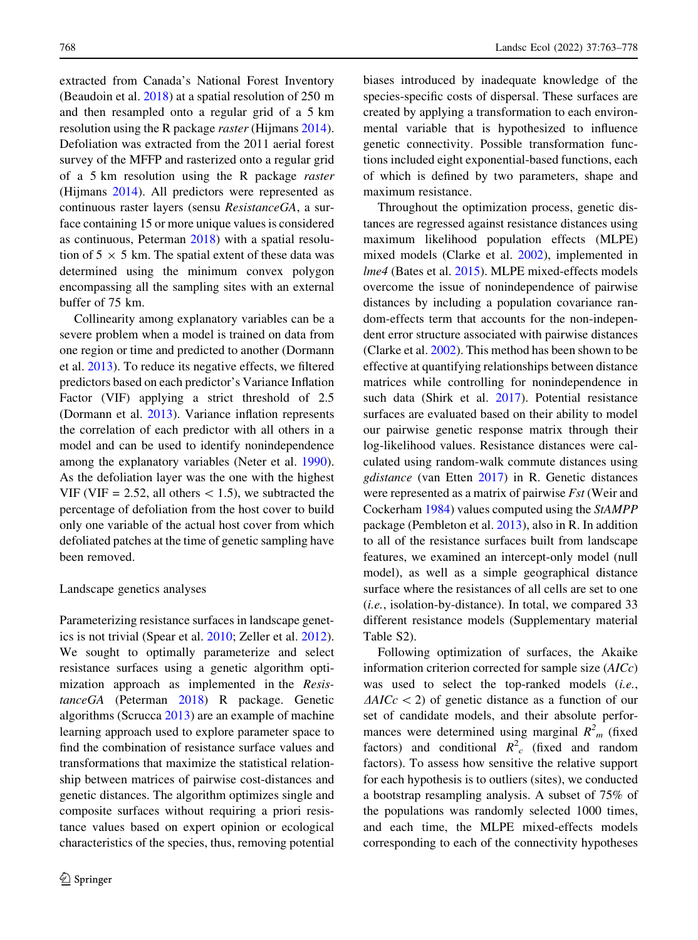extracted from Canada's National Forest Inventory (Beaudoin et al. [2018](#page-12-0)) at a spatial resolution of 250 m and then resampled onto a regular grid of a 5 km resolution using the R package raster (Hijmans [2014](#page-13-0)). Defoliation was extracted from the 2011 aerial forest survey of the MFFP and rasterized onto a regular grid of a 5 km resolution using the R package raster (Hijmans [2014](#page-13-0)). All predictors were represented as continuous raster layers (sensu ResistanceGA, a surface containing 15 or more unique values is considered as continuous, Peterman [2018](#page-14-0)) with a spatial resolution of  $5 \times 5$  km. The spatial extent of these data was determined using the minimum convex polygon encompassing all the sampling sites with an external buffer of 75 km.

Collinearity among explanatory variables can be a severe problem when a model is trained on data from one region or time and predicted to another (Dormann et al. [2013\)](#page-13-0). To reduce its negative effects, we filtered predictors based on each predictor's Variance Inflation Factor (VIF) applying a strict threshold of 2.5 (Dormann et al. [2013\)](#page-13-0). Variance inflation represents the correlation of each predictor with all others in a model and can be used to identify nonindependence among the explanatory variables (Neter et al. [1990](#page-14-0)). As the defoliation layer was the one with the highest VIF (VIF = 2.52, all others  $\lt$  1.5), we subtracted the percentage of defoliation from the host cover to build only one variable of the actual host cover from which defoliated patches at the time of genetic sampling have been removed.

## Landscape genetics analyses

Parameterizing resistance surfaces in landscape genetics is not trivial (Spear et al. [2010](#page-15-0); Zeller et al. [2012](#page-15-0)). We sought to optimally parameterize and select resistance surfaces using a genetic algorithm optimization approach as implemented in the ResistanceGA (Peterman [2018](#page-14-0)) R package. Genetic algorithms (Scrucca [2013](#page-15-0)) are an example of machine learning approach used to explore parameter space to find the combination of resistance surface values and transformations that maximize the statistical relationship between matrices of pairwise cost-distances and genetic distances. The algorithm optimizes single and composite surfaces without requiring a priori resistance values based on expert opinion or ecological characteristics of the species, thus, removing potential biases introduced by inadequate knowledge of the species-specific costs of dispersal. These surfaces are created by applying a transformation to each environmental variable that is hypothesized to influence genetic connectivity. Possible transformation functions included eight exponential-based functions, each of which is defined by two parameters, shape and maximum resistance.

Throughout the optimization process, genetic distances are regressed against resistance distances using maximum likelihood population effects (MLPE) mixed models (Clarke et al. [2002](#page-13-0)), implemented in lme4 (Bates et al. [2015\)](#page-12-0). MLPE mixed-effects models overcome the issue of nonindependence of pairwise distances by including a population covariance random-effects term that accounts for the non-independent error structure associated with pairwise distances (Clarke et al. [2002\)](#page-13-0). This method has been shown to be effective at quantifying relationships between distance matrices while controlling for nonindependence in such data (Shirk et al. [2017\)](#page-15-0). Potential resistance surfaces are evaluated based on their ability to model our pairwise genetic response matrix through their log-likelihood values. Resistance distances were calculated using random-walk commute distances using gdistance (van Etten [2017](#page-15-0)) in R. Genetic distances were represented as a matrix of pairwise Fst (Weir and Cockerham [1984](#page-15-0)) values computed using the StAMPP package (Pembleton et al. [2013](#page-14-0)), also in R. In addition to all of the resistance surfaces built from landscape features, we examined an intercept-only model (null model), as well as a simple geographical distance surface where the resistances of all cells are set to one (i.e., isolation-by-distance). In total, we compared 33 different resistance models (Supplementary material Table S2).

Following optimization of surfaces, the Akaike information criterion corrected for sample size (AICc) was used to select the top-ranked models (i.e.,  $\Delta AICc$  < 2) of genetic distance as a function of our set of candidate models, and their absolute performances were determined using marginal  $R<sup>2</sup><sub>m</sub>$  (fixed factors) and conditional  $R^2$ <sub>c</sub> (fixed and random factors). To assess how sensitive the relative support for each hypothesis is to outliers (sites), we conducted a bootstrap resampling analysis. A subset of 75% of the populations was randomly selected 1000 times, and each time, the MLPE mixed-effects models corresponding to each of the connectivity hypotheses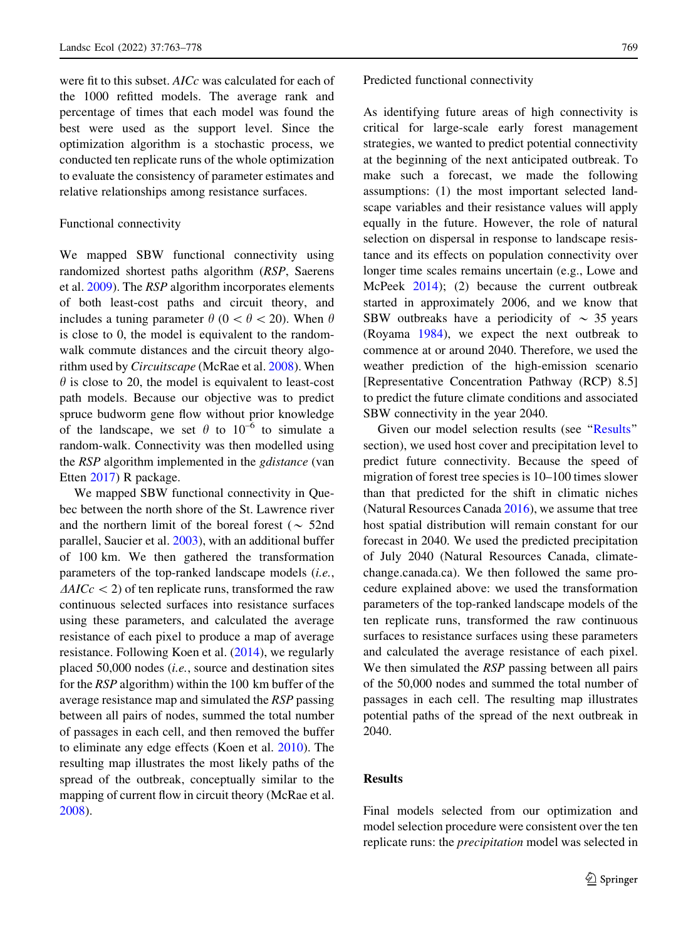were fit to this subset. AICc was calculated for each of the 1000 refitted models. The average rank and percentage of times that each model was found the best were used as the support level. Since the optimization algorithm is a stochastic process, we conducted ten replicate runs of the whole optimization to evaluate the consistency of parameter estimates and relative relationships among resistance surfaces.

# Functional connectivity

We mapped SBW functional connectivity using randomized shortest paths algorithm (RSP, Saerens et al. [2009](#page-15-0)). The RSP algorithm incorporates elements of both least-cost paths and circuit theory, and includes a tuning parameter  $\theta$  (0  $< \theta < 20$ ). When  $\theta$ is close to 0, the model is equivalent to the randomwalk commute distances and the circuit theory algorithm used by Circuitscape (McRae et al. [2008\)](#page-14-0). When  $\theta$  is close to 20, the model is equivalent to least-cost path models. Because our objective was to predict spruce budworm gene flow without prior knowledge of the landscape, we set  $\theta$  to 10<sup>-6</sup> to simulate a random-walk. Connectivity was then modelled using the RSP algorithm implemented in the *gdistance* (van Etten [2017\)](#page-15-0) R package.

We mapped SBW functional connectivity in Quebec between the north shore of the St. Lawrence river and the northern limit of the boreal forest ( $\sim$  52nd parallel, Saucier et al. [2003\)](#page-15-0), with an additional buffer of 100 km. We then gathered the transformation parameters of the top-ranked landscape models (i.e.,  $\Delta AICc$  < 2) of ten replicate runs, transformed the raw continuous selected surfaces into resistance surfaces using these parameters, and calculated the average resistance of each pixel to produce a map of average resistance. Following Koen et al. ([2014\)](#page-13-0), we regularly placed 50,000 nodes (i.e., source and destination sites for the RSP algorithm) within the 100 km buffer of the average resistance map and simulated the RSP passing between all pairs of nodes, summed the total number of passages in each cell, and then removed the buffer to eliminate any edge effects (Koen et al. [2010\)](#page-13-0). The resulting map illustrates the most likely paths of the spread of the outbreak, conceptually similar to the mapping of current flow in circuit theory (McRae et al. [2008\)](#page-14-0).

# Predicted functional connectivity

As identifying future areas of high connectivity is critical for large-scale early forest management strategies, we wanted to predict potential connectivity at the beginning of the next anticipated outbreak. To make such a forecast, we made the following assumptions: (1) the most important selected landscape variables and their resistance values will apply equally in the future. However, the role of natural selection on dispersal in response to landscape resistance and its effects on population connectivity over longer time scales remains uncertain (e.g., Lowe and McPeek [2014\)](#page-14-0); (2) because the current outbreak started in approximately 2006, and we know that SBW outbreaks have a periodicity of  $\sim$  35 years (Royama [1984\)](#page-15-0), we expect the next outbreak to commence at or around 2040. Therefore, we used the weather prediction of the high-emission scenario [Representative Concentration Pathway (RCP) 8.5] to predict the future climate conditions and associated SBW connectivity in the year 2040.

Given our model selection results (see ''Results'' section), we used host cover and precipitation level to predict future connectivity. Because the speed of migration of forest tree species is 10–100 times slower than that predicted for the shift in climatic niches (Natural Resources Canada [2016](#page-14-0)), we assume that tree host spatial distribution will remain constant for our forecast in 2040. We used the predicted precipitation of July 2040 (Natural Resources Canada, climatechange.canada.ca). We then followed the same procedure explained above: we used the transformation parameters of the top-ranked landscape models of the ten replicate runs, transformed the raw continuous surfaces to resistance surfaces using these parameters and calculated the average resistance of each pixel. We then simulated the *RSP* passing between all pairs of the 50,000 nodes and summed the total number of passages in each cell. The resulting map illustrates potential paths of the spread of the next outbreak in 2040.

# Results

Final models selected from our optimization and model selection procedure were consistent over the ten replicate runs: the precipitation model was selected in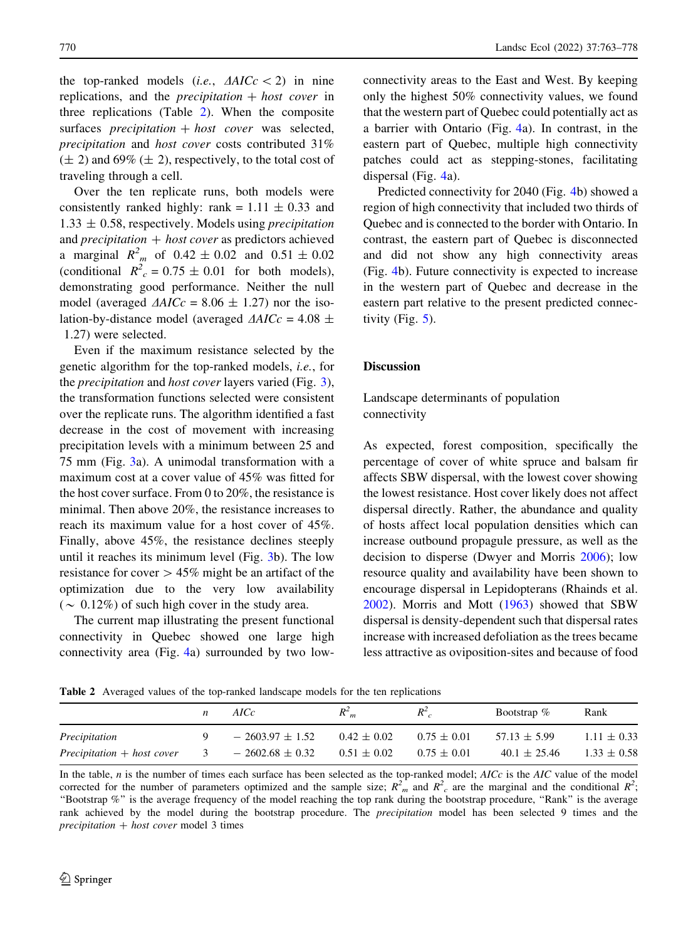the top-ranked models (*i.e.*,  $\Delta AICc$  < 2) in nine replications, and the *precipitation*  $+$  *host cover* in three replications (Table 2). When the composite surfaces *precipitation*  $+$  *host cover* was selected, precipitation and host cover costs contributed 31%  $(\pm 2)$  and 69%  $(\pm 2)$ , respectively, to the total cost of traveling through a cell.

Over the ten replicate runs, both models were consistently ranked highly: rank =  $1.11 \pm 0.33$  and  $1.33 \pm 0.58$ , respectively. Models using *precipitation* and *precipitation*  $+$  *host cover* as predictors achieved a marginal  $R_{m}^{2}$  of  $0.42 \pm 0.02$  and  $0.51 \pm 0.02$ (conditional  $R^2$ <sub>c</sub> = 0.75  $\pm$  0.01 for both models), demonstrating good performance. Neither the null model (averaged  $\triangle AICc = 8.06 \pm 1.27$ ) nor the isolation-by-distance model (averaged  $\Delta AICc = 4.08 \pm 1.08$ 1.27) were selected.

Even if the maximum resistance selected by the genetic algorithm for the top-ranked models, i.e., for the *precipitation* and *host cover* layers varied (Fig. [3](#page-8-0)), the transformation functions selected were consistent over the replicate runs. The algorithm identified a fast decrease in the cost of movement with increasing precipitation levels with a minimum between 25 and 75 mm (Fig. [3a](#page-8-0)). A unimodal transformation with a maximum cost at a cover value of 45% was fitted for the host cover surface. From 0 to 20%, the resistance is minimal. Then above 20%, the resistance increases to reach its maximum value for a host cover of 45%. Finally, above 45%, the resistance declines steeply until it reaches its minimum level (Fig. [3b](#page-8-0)). The low resistance for cover  $> 45\%$  might be an artifact of the optimization due to the very low availability ( $\sim 0.12\%$ ) of such high cover in the study area.

The current map illustrating the present functional connectivity in Quebec showed one large high connectivity area (Fig. [4](#page-9-0)a) surrounded by two lowconnectivity areas to the East and West. By keeping only the highest 50% connectivity values, we found that the western part of Quebec could potentially act as a barrier with Ontario (Fig. [4a](#page-9-0)). In contrast, in the eastern part of Quebec, multiple high connectivity patches could act as stepping-stones, facilitating dispersal (Fig. [4a](#page-9-0)).

Predicted connectivity for 2040 (Fig. [4](#page-9-0)b) showed a region of high connectivity that included two thirds of Quebec and is connected to the border with Ontario. In contrast, the eastern part of Quebec is disconnected and did not show any high connectivity areas (Fig. [4](#page-9-0)b). Future connectivity is expected to increase in the western part of Quebec and decrease in the eastern part relative to the present predicted connectivity (Fig.  $5$ ).

## **Discussion**

Landscape determinants of population connectivity

As expected, forest composition, specifically the percentage of cover of white spruce and balsam fir affects SBW dispersal, with the lowest cover showing the lowest resistance. Host cover likely does not affect dispersal directly. Rather, the abundance and quality of hosts affect local population densities which can increase outbound propagule pressure, as well as the decision to disperse (Dwyer and Morris [2006](#page-13-0)); low resource quality and availability have been shown to encourage dispersal in Lepidopterans (Rhainds et al. [2002\)](#page-14-0). Morris and Mott ([1963\)](#page-14-0) showed that SBW dispersal is density-dependent such that dispersal rates increase with increased defoliation as the trees became less attractive as oviposition-sites and because of food

Table 2 Averaged values of the top-ranked landscape models for the ten replications

|                              |                         | AICc                | $R_{m}^2$       | $R^2$           | Bootstrap $\%$   | Rank            |
|------------------------------|-------------------------|---------------------|-----------------|-----------------|------------------|-----------------|
| Precipitation                |                         | $-2603.97 \pm 1.52$ | $0.42 \pm 0.02$ | $0.75 \pm 0.01$ | $57.13 \pm 5.99$ | $1.11 \pm 0.33$ |
| $Precipitation + host cover$ | $\overline{\mathbf{3}}$ | $-2602.68 \pm 0.32$ | $0.51 \pm 0.02$ | $0.75 \pm 0.01$ | $40.1 \pm 25.46$ | $1.33 \pm 0.58$ |

In the table,  $n$  is the number of times each surface has been selected as the top-ranked model;  $AICc$  is the  $AIC$  value of the model corrected for the number of parameters optimized and the sample size;  $R^2$ <sup>2</sup> and  $R^2$ <sub>c</sub> are the marginal and the conditional  $R^2$ ; ''Bootstrap %'' is the average frequency of the model reaching the top rank during the bootstrap procedure, ''Rank'' is the average rank achieved by the model during the bootstrap procedure. The precipitation model has been selected 9 times and the  $precription + host cover model 3 times$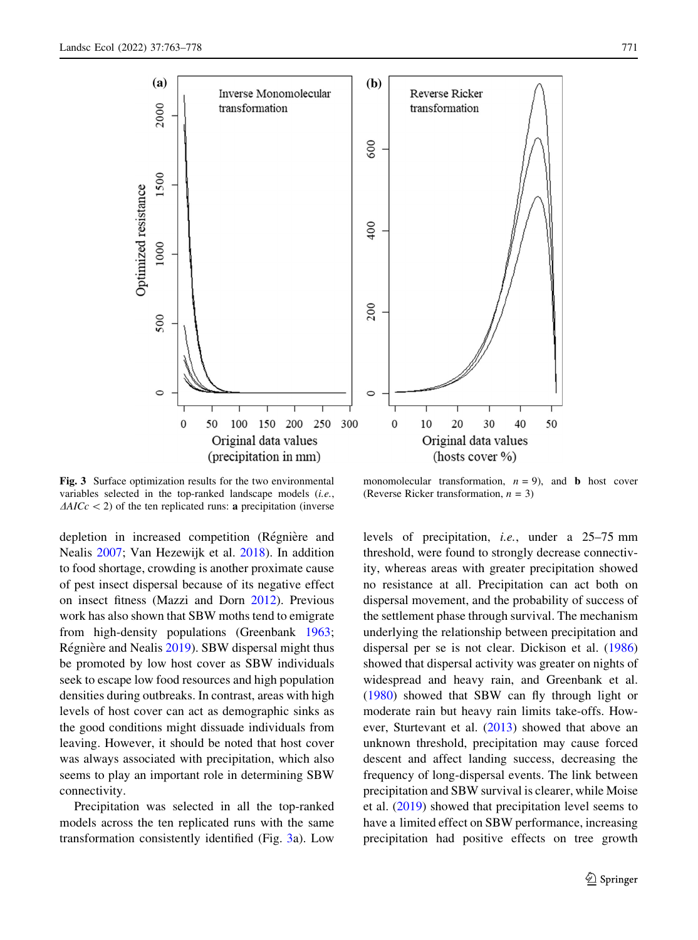<span id="page-8-0"></span>

Fig. 3 Surface optimization results for the two environmental variables selected in the top-ranked landscape models (i.e.,  $\Delta AICc$  < 2) of the ten replicated runs: **a** precipitation (inverse

depletion in increased competition (Régnière and Nealis [2007;](#page-14-0) Van Hezewijk et al. [2018](#page-15-0)). In addition to food shortage, crowding is another proximate cause of pest insect dispersal because of its negative effect on insect fitness (Mazzi and Dorn [2012\)](#page-14-0). Previous work has also shown that SBW moths tend to emigrate from high-density populations (Greenbank [1963](#page-13-0); Régnière and Nealis [2019\)](#page-14-0). SBW dispersal might thus be promoted by low host cover as SBW individuals seek to escape low food resources and high population densities during outbreaks. In contrast, areas with high levels of host cover can act as demographic sinks as the good conditions might dissuade individuals from leaving. However, it should be noted that host cover was always associated with precipitation, which also seems to play an important role in determining SBW connectivity.

Precipitation was selected in all the top-ranked models across the ten replicated runs with the same transformation consistently identified (Fig. 3a). Low

monomolecular transformation,  $n = 9$ ), and **b** host cover (Reverse Ricker transformation,  $n = 3$ )

levels of precipitation, i.e., under a 25–75 mm threshold, were found to strongly decrease connectivity, whereas areas with greater precipitation showed no resistance at all. Precipitation can act both on dispersal movement, and the probability of success of the settlement phase through survival. The mechanism underlying the relationship between precipitation and dispersal per se is not clear. Dickison et al. ([1986\)](#page-13-0) showed that dispersal activity was greater on nights of widespread and heavy rain, and Greenbank et al. [\(1980](#page-13-0)) showed that SBW can fly through light or moderate rain but heavy rain limits take-offs. However, Sturtevant et al. [\(2013](#page-15-0)) showed that above an unknown threshold, precipitation may cause forced descent and affect landing success, decreasing the frequency of long-dispersal events. The link between precipitation and SBW survival is clearer, while Moise et al. [\(2019](#page-14-0)) showed that precipitation level seems to have a limited effect on SBW performance, increasing precipitation had positive effects on tree growth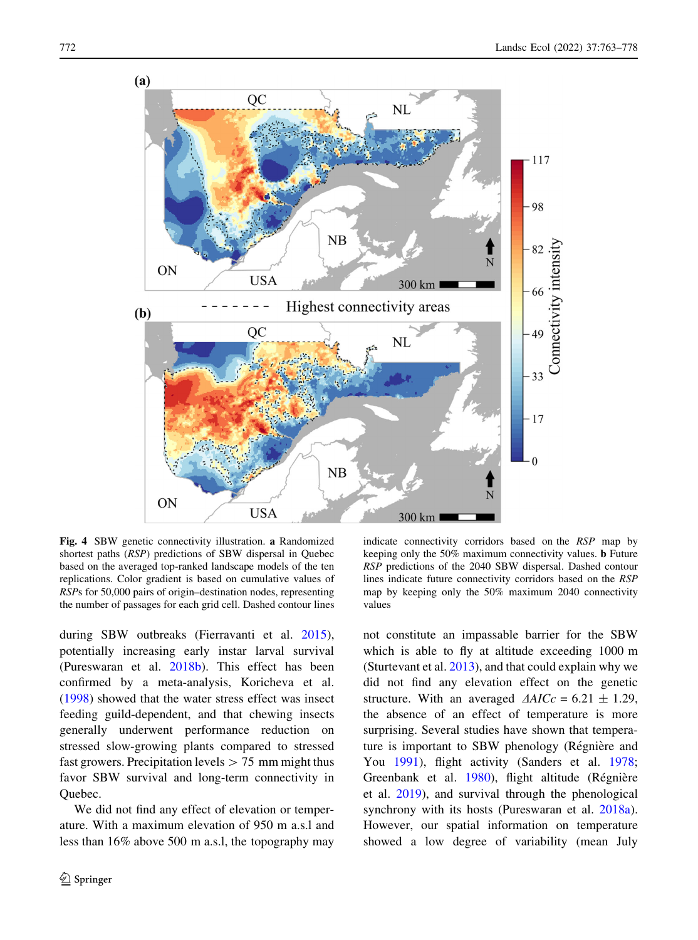<span id="page-9-0"></span>

Fig. 4 SBW genetic connectivity illustration. a Randomized shortest paths (RSP) predictions of SBW dispersal in Quebec based on the averaged top-ranked landscape models of the ten replications. Color gradient is based on cumulative values of RSPs for 50,000 pairs of origin–destination nodes, representing the number of passages for each grid cell. Dashed contour lines

during SBW outbreaks (Fierravanti et al. [2015](#page-13-0)), potentially increasing early instar larval survival (Pureswaran et al. [2018b\)](#page-14-0). This effect has been confirmed by a meta-analysis, Koricheva et al. [\(1998](#page-13-0)) showed that the water stress effect was insect feeding guild-dependent, and that chewing insects generally underwent performance reduction on stressed slow-growing plants compared to stressed fast growers. Precipitation levels  $> 75$  mm might thus favor SBW survival and long-term connectivity in Quebec.

We did not find any effect of elevation or temperature. With a maximum elevation of 950 m a.s.l and less than 16% above 500 m a.s.l, the topography may

indicate connectivity corridors based on the RSP map by keeping only the 50% maximum connectivity values. b Future RSP predictions of the 2040 SBW dispersal. Dashed contour lines indicate future connectivity corridors based on the RSP map by keeping only the 50% maximum 2040 connectivity values

not constitute an impassable barrier for the SBW which is able to fly at altitude exceeding 1000 m (Sturtevant et al. [2013](#page-15-0)), and that could explain why we did not find any elevation effect on the genetic structure. With an averaged  $\triangle AICc = 6.21 \pm 1.29$ , the absence of an effect of temperature is more surprising. Several studies have shown that temperature is important to SBW phenology (Régnière and You [1991\)](#page-14-0), flight activity (Sanders et al. [1978](#page-15-0); Greenbank et al. [1980\)](#page-13-0), flight altitude (Régnière et al. [2019\)](#page-14-0), and survival through the phenological synchrony with its hosts (Pureswaran et al. [2018a](#page-14-0)). However, our spatial information on temperature showed a low degree of variability (mean July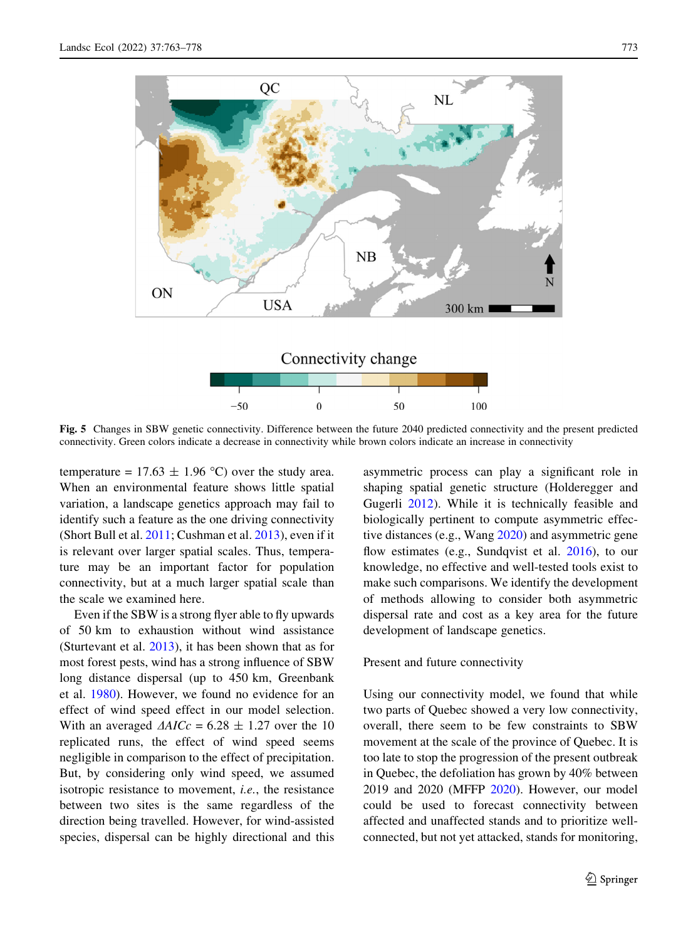<span id="page-10-0"></span>

Fig. 5 Changes in SBW genetic connectivity. Difference between the future 2040 predicted connectivity and the present predicted connectivity. Green colors indicate a decrease in connectivity while brown colors indicate an increase in connectivity

temperature =  $17.63 \pm 1.96$  °C) over the study area. When an environmental feature shows little spatial variation, a landscape genetics approach may fail to identify such a feature as the one driving connectivity (Short Bull et al. [2011](#page-15-0); Cushman et al. [2013\)](#page-13-0), even if it is relevant over larger spatial scales. Thus, temperature may be an important factor for population connectivity, but at a much larger spatial scale than the scale we examined here.

Even if the SBW is a strong flyer able to fly upwards of 50 km to exhaustion without wind assistance (Sturtevant et al. [2013](#page-15-0)), it has been shown that as for most forest pests, wind has a strong influence of SBW long distance dispersal (up to 450 km, Greenbank et al. [1980\)](#page-13-0). However, we found no evidence for an effect of wind speed effect in our model selection. With an averaged  $\Delta AICc = 6.28 \pm 1.27$  over the 10 replicated runs, the effect of wind speed seems negligible in comparison to the effect of precipitation. But, by considering only wind speed, we assumed isotropic resistance to movement, i.e., the resistance between two sites is the same regardless of the direction being travelled. However, for wind-assisted species, dispersal can be highly directional and this asymmetric process can play a significant role in shaping spatial genetic structure (Holderegger and Gugerli [2012](#page-13-0)). While it is technically feasible and biologically pertinent to compute asymmetric effective distances (e.g., Wang [2020\)](#page-15-0) and asymmetric gene flow estimates (e.g., Sundqvist et al. [2016](#page-15-0)), to our knowledge, no effective and well-tested tools exist to make such comparisons. We identify the development of methods allowing to consider both asymmetric dispersal rate and cost as a key area for the future development of landscape genetics.

# Present and future connectivity

Using our connectivity model, we found that while two parts of Quebec showed a very low connectivity, overall, there seem to be few constraints to SBW movement at the scale of the province of Quebec. It is too late to stop the progression of the present outbreak in Quebec, the defoliation has grown by 40% between 2019 and 2020 (MFFP [2020\)](#page-14-0). However, our model could be used to forecast connectivity between affected and unaffected stands and to prioritize wellconnected, but not yet attacked, stands for monitoring,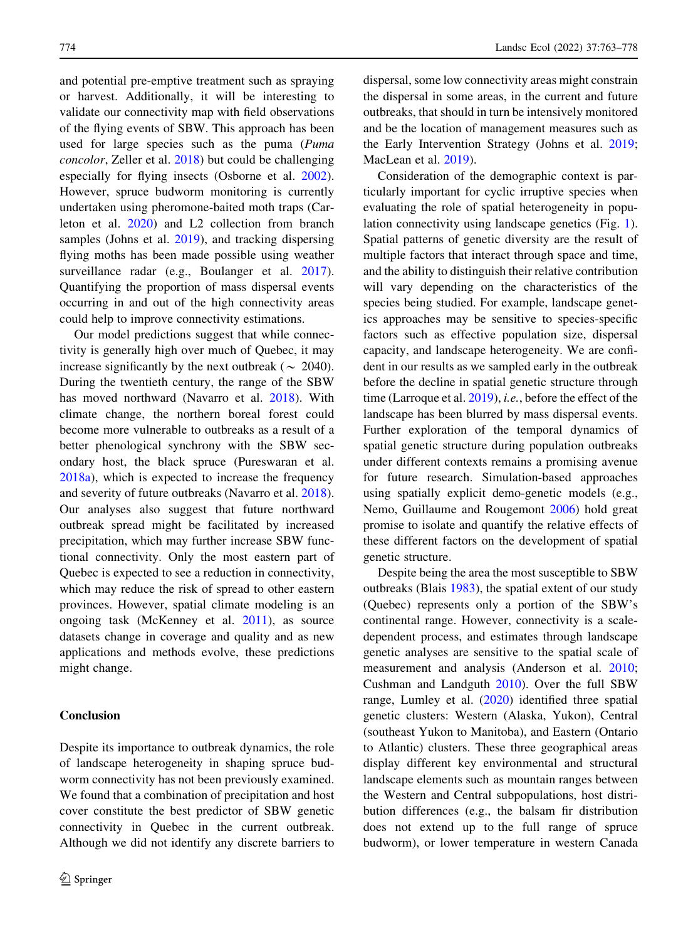and potential pre-emptive treatment such as spraying or harvest. Additionally, it will be interesting to validate our connectivity map with field observations of the flying events of SBW. This approach has been used for large species such as the puma (Puma concolor, Zeller et al. [2018\)](#page-15-0) but could be challenging especially for flying insects (Osborne et al. [2002](#page-14-0)). However, spruce budworm monitoring is currently undertaken using pheromone-baited moth traps (Carleton et al. [2020](#page-13-0)) and L2 collection from branch samples (Johns et al. [2019\)](#page-13-0), and tracking dispersing flying moths has been made possible using weather surveillance radar (e.g., Boulanger et al. [2017](#page-12-0)). Quantifying the proportion of mass dispersal events occurring in and out of the high connectivity areas could help to improve connectivity estimations.

Our model predictions suggest that while connectivity is generally high over much of Quebec, it may increase significantly by the next outbreak ( $\sim 2040$ ). During the twentieth century, the range of the SBW has moved northward (Navarro et al. [2018](#page-14-0)). With climate change, the northern boreal forest could become more vulnerable to outbreaks as a result of a better phenological synchrony with the SBW secondary host, the black spruce (Pureswaran et al. [2018a](#page-14-0)), which is expected to increase the frequency and severity of future outbreaks (Navarro et al. [2018](#page-14-0)). Our analyses also suggest that future northward outbreak spread might be facilitated by increased precipitation, which may further increase SBW functional connectivity. Only the most eastern part of Quebec is expected to see a reduction in connectivity, which may reduce the risk of spread to other eastern provinces. However, spatial climate modeling is an ongoing task (McKenney et al. [2011](#page-14-0)), as source datasets change in coverage and quality and as new applications and methods evolve, these predictions might change.

# Conclusion

Despite its importance to outbreak dynamics, the role of landscape heterogeneity in shaping spruce budworm connectivity has not been previously examined. We found that a combination of precipitation and host cover constitute the best predictor of SBW genetic connectivity in Quebec in the current outbreak. Although we did not identify any discrete barriers to dispersal, some low connectivity areas might constrain the dispersal in some areas, in the current and future outbreaks, that should in turn be intensively monitored and be the location of management measures such as the Early Intervention Strategy (Johns et al. [2019](#page-13-0); MacLean et al. [2019](#page-14-0)).

Consideration of the demographic context is particularly important for cyclic irruptive species when evaluating the role of spatial heterogeneity in population connectivity using landscape genetics (Fig. [1](#page-3-0)). Spatial patterns of genetic diversity are the result of multiple factors that interact through space and time, and the ability to distinguish their relative contribution will vary depending on the characteristics of the species being studied. For example, landscape genetics approaches may be sensitive to species-specific factors such as effective population size, dispersal capacity, and landscape heterogeneity. We are confident in our results as we sampled early in the outbreak before the decline in spatial genetic structure through time (Larroque et al. [2019](#page-13-0)), *i.e.*, before the effect of the landscape has been blurred by mass dispersal events. Further exploration of the temporal dynamics of spatial genetic structure during population outbreaks under different contexts remains a promising avenue for future research. Simulation-based approaches using spatially explicit demo-genetic models (e.g., Nemo, Guillaume and Rougemont [2006](#page-13-0)) hold great promise to isolate and quantify the relative effects of these different factors on the development of spatial genetic structure.

Despite being the area the most susceptible to SBW outbreaks (Blais [1983\)](#page-12-0), the spatial extent of our study (Quebec) represents only a portion of the SBW's continental range. However, connectivity is a scaledependent process, and estimates through landscape genetic analyses are sensitive to the spatial scale of measurement and analysis (Anderson et al. [2010](#page-12-0); Cushman and Landguth [2010\)](#page-13-0). Over the full SBW range, Lumley et al. [\(2020](#page-14-0)) identified three spatial genetic clusters: Western (Alaska, Yukon), Central (southeast Yukon to Manitoba), and Eastern (Ontario to Atlantic) clusters. These three geographical areas display different key environmental and structural landscape elements such as mountain ranges between the Western and Central subpopulations, host distribution differences (e.g., the balsam fir distribution does not extend up to the full range of spruce budworm), or lower temperature in western Canada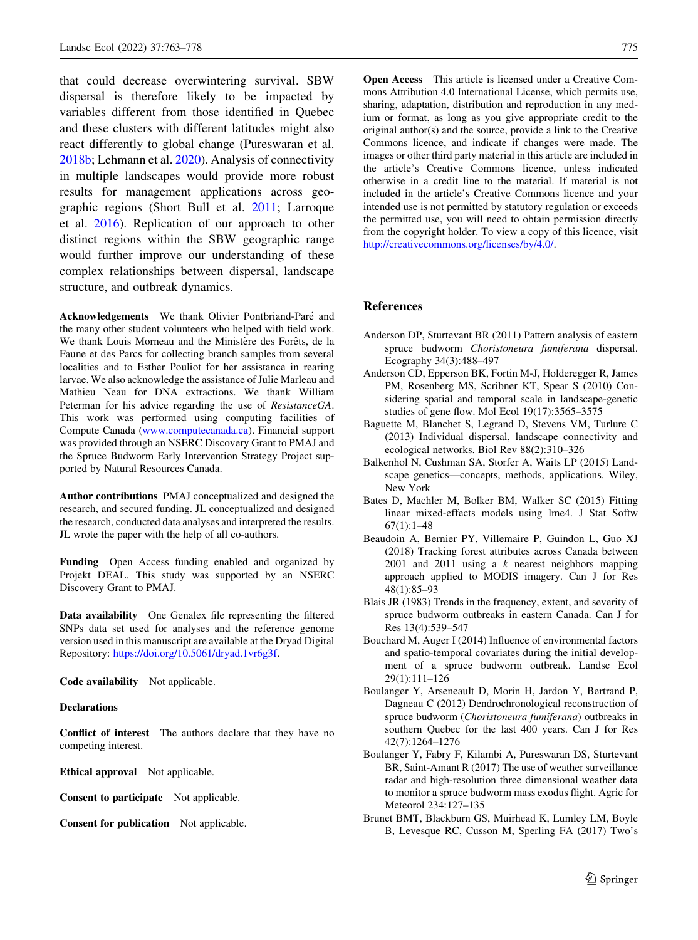<span id="page-12-0"></span>that could decrease overwintering survival. SBW dispersal is therefore likely to be impacted by variables different from those identified in Quebec and these clusters with different latitudes might also react differently to global change (Pureswaran et al. [2018b;](#page-14-0) Lehmann et al. [2020](#page-14-0)). Analysis of connectivity in multiple landscapes would provide more robust results for management applications across geographic regions (Short Bull et al. [2011](#page-15-0); Larroque et al. [2016\)](#page-13-0). Replication of our approach to other distinct regions within the SBW geographic range would further improve our understanding of these complex relationships between dispersal, landscape structure, and outbreak dynamics.

Acknowledgements We thank Olivier Pontbriand-Paré and the many other student volunteers who helped with field work. We thank Louis Morneau and the Ministère des Forêts, de la Faune et des Parcs for collecting branch samples from several localities and to Esther Pouliot for her assistance in rearing larvae. We also acknowledge the assistance of Julie Marleau and Mathieu Neau for DNA extractions. We thank William Peterman for his advice regarding the use of ResistanceGA. This work was performed using computing facilities of Compute Canada ([www.computecanada.ca\)](http://www.computecanada.ca). Financial support was provided through an NSERC Discovery Grant to PMAJ and the Spruce Budworm Early Intervention Strategy Project supported by Natural Resources Canada.

Author contributions PMAJ conceptualized and designed the research, and secured funding. JL conceptualized and designed the research, conducted data analyses and interpreted the results. JL wrote the paper with the help of all co-authors.

Funding Open Access funding enabled and organized by Projekt DEAL. This study was supported by an NSERC Discovery Grant to PMAJ.

Data availability One Genalex file representing the filtered SNPs data set used for analyses and the reference genome version used in this manuscript are available at the Dryad Digital Repository: <https://doi.org/10.5061/dryad.1vr6g3f>.

Code availability Not applicable.

## **Declarations**

Conflict of interest The authors declare that they have no competing interest.

Ethical approval Not applicable.

Consent to participate Not applicable.

Consent for publication Not applicable.

Open Access This article is licensed under a Creative Commons Attribution 4.0 International License, which permits use, sharing, adaptation, distribution and reproduction in any medium or format, as long as you give appropriate credit to the original author(s) and the source, provide a link to the Creative Commons licence, and indicate if changes were made. The images or other third party material in this article are included in the article's Creative Commons licence, unless indicated otherwise in a credit line to the material. If material is not included in the article's Creative Commons licence and your intended use is not permitted by statutory regulation or exceeds the permitted use, you will need to obtain permission directly from the copyright holder. To view a copy of this licence, visit <http://creativecommons.org/licenses/by/4.0/>.

### References

- Anderson DP, Sturtevant BR (2011) Pattern analysis of eastern spruce budworm Choristoneura fumiferana dispersal. Ecography 34(3):488–497
- Anderson CD, Epperson BK, Fortin M-J, Holderegger R, James PM, Rosenberg MS, Scribner KT, Spear S (2010) Considering spatial and temporal scale in landscape-genetic studies of gene flow. Mol Ecol 19(17):3565–3575
- Baguette M, Blanchet S, Legrand D, Stevens VM, Turlure C (2013) Individual dispersal, landscape connectivity and ecological networks. Biol Rev 88(2):310–326
- Balkenhol N, Cushman SA, Storfer A, Waits LP (2015) Landscape genetics—concepts, methods, applications. Wiley, New York
- Bates D, Machler M, Bolker BM, Walker SC (2015) Fitting linear mixed-effects models using lme4. J Stat Softw  $67(1):1-48$
- Beaudoin A, Bernier PY, Villemaire P, Guindon L, Guo XJ (2018) Tracking forest attributes across Canada between 2001 and 2011 using a  $k$  nearest neighbors mapping approach applied to MODIS imagery. Can J for Res 48(1):85–93
- Blais JR (1983) Trends in the frequency, extent, and severity of spruce budworm outbreaks in eastern Canada. Can J for Res 13(4):539–547
- Bouchard M, Auger I (2014) Influence of environmental factors and spatio-temporal covariates during the initial development of a spruce budworm outbreak. Landsc Ecol 29(1):111–126
- Boulanger Y, Arseneault D, Morin H, Jardon Y, Bertrand P, Dagneau C (2012) Dendrochronological reconstruction of spruce budworm (Choristoneura fumiferana) outbreaks in southern Quebec for the last 400 years. Can J for Res 42(7):1264–1276
- Boulanger Y, Fabry F, Kilambi A, Pureswaran DS, Sturtevant BR, Saint-Amant R (2017) The use of weather surveillance radar and high-resolution three dimensional weather data to monitor a spruce budworm mass exodus flight. Agric for Meteorol 234:127–135
- Brunet BMT, Blackburn GS, Muirhead K, Lumley LM, Boyle B, Levesque RC, Cusson M, Sperling FA (2017) Two's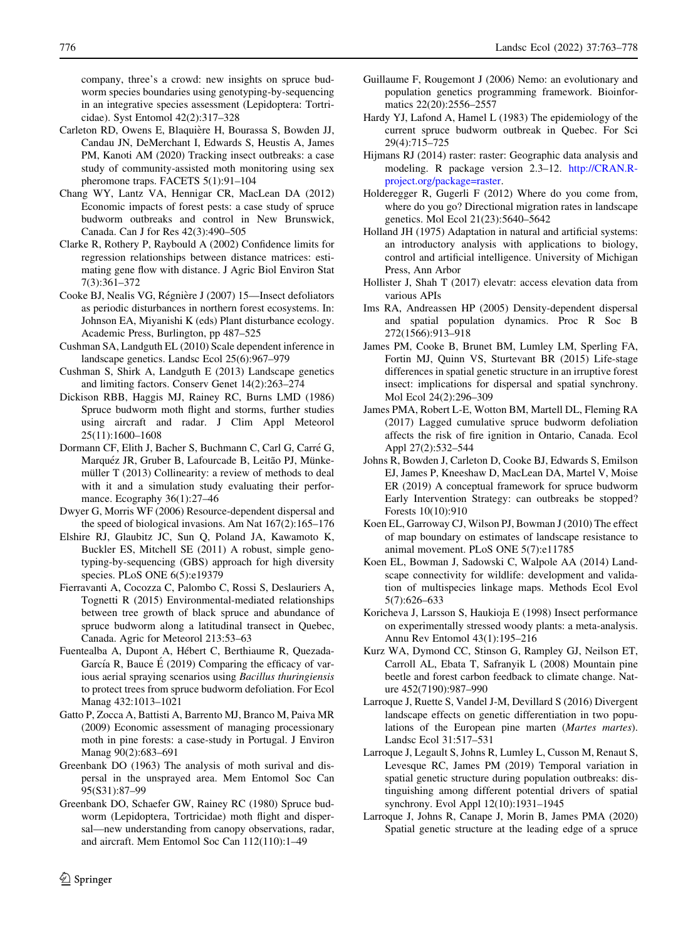<span id="page-13-0"></span>company, three's a crowd: new insights on spruce budworm species boundaries using genotyping-by-sequencing in an integrative species assessment (Lepidoptera: Tortricidae). Syst Entomol 42(2):317–328

- Carleton RD, Owens E, Blaquière H, Bourassa S, Bowden JJ, Candau JN, DeMerchant I, Edwards S, Heustis A, James PM, Kanoti AM (2020) Tracking insect outbreaks: a case study of community-assisted moth monitoring using sex pheromone traps. FACETS 5(1):91–104
- Chang WY, Lantz VA, Hennigar CR, MacLean DA (2012) Economic impacts of forest pests: a case study of spruce budworm outbreaks and control in New Brunswick, Canada. Can J for Res 42(3):490–505
- Clarke R, Rothery P, Raybould A (2002) Confidence limits for regression relationships between distance matrices: estimating gene flow with distance. J Agric Biol Environ Stat 7(3):361–372
- Cooke BJ, Nealis VG, Régnière J (2007) 15—Insect defoliators as periodic disturbances in northern forest ecosystems. In: Johnson EA, Miyanishi K (eds) Plant disturbance ecology. Academic Press, Burlington, pp 487–525
- Cushman SA, Landguth EL (2010) Scale dependent inference in landscape genetics. Landsc Ecol 25(6):967–979
- Cushman S, Shirk A, Landguth E (2013) Landscape genetics and limiting factors. Conserv Genet 14(2):263–274
- Dickison RBB, Haggis MJ, Rainey RC, Burns LMD (1986) Spruce budworm moth flight and storms, further studies using aircraft and radar. J Clim Appl Meteorol 25(11):1600–1608
- Dormann CF, Elith J, Bacher S, Buchmann C, Carl G, Carré G, Marquéz JR, Gruber B, Lafourcade B, Leitão PJ, Münkemüller T (2013) Collinearity: a review of methods to deal with it and a simulation study evaluating their performance. Ecography  $36(1)$ :27–46
- Dwyer G, Morris WF (2006) Resource-dependent dispersal and the speed of biological invasions. Am Nat 167(2):165–176
- Elshire RJ, Glaubitz JC, Sun Q, Poland JA, Kawamoto K, Buckler ES, Mitchell SE (2011) A robust, simple genotyping-by-sequencing (GBS) approach for high diversity species. PLoS ONE 6(5):e19379
- Fierravanti A, Cocozza C, Palombo C, Rossi S, Deslauriers A, Tognetti R (2015) Environmental-mediated relationships between tree growth of black spruce and abundance of spruce budworm along a latitudinal transect in Quebec, Canada. Agric for Meteorol 213:53–63
- Fuentealba A, Dupont A, Hébert C, Berthiaume R, Quezada-García R, Bauce É (2019) Comparing the efficacy of various aerial spraying scenarios using Bacillus thuringiensis to protect trees from spruce budworm defoliation. For Ecol Manag 432:1013–1021
- Gatto P, Zocca A, Battisti A, Barrento MJ, Branco M, Paiva MR (2009) Economic assessment of managing processionary moth in pine forests: a case-study in Portugal. J Environ Manag 90(2):683–691
- Greenbank DO (1963) The analysis of moth surival and dispersal in the unsprayed area. Mem Entomol Soc Can 95(S31):87–99
- Greenbank DO, Schaefer GW, Rainey RC (1980) Spruce budworm (Lepidoptera, Tortricidae) moth flight and dispersal—new understanding from canopy observations, radar, and aircraft. Mem Entomol Soc Can 112(110):1–49
- Guillaume F, Rougemont J (2006) Nemo: an evolutionary and population genetics programming framework. Bioinformatics 22(20):2556–2557
- Hardy YJ, Lafond A, Hamel L (1983) The epidemiology of the current spruce budworm outbreak in Quebec. For Sci 29(4):715–725
- Hijmans RJ (2014) raster: raster: Geographic data analysis and modeling. R package version 2.3–12. [http://CRAN.R](http://CRAN.R-project.org/package=raster)[project.org/package=raster.](http://CRAN.R-project.org/package=raster)
- Holderegger R, Gugerli F (2012) Where do you come from, where do you go? Directional migration rates in landscape genetics. Mol Ecol 21(23):5640–5642
- Holland JH (1975) Adaptation in natural and artificial systems: an introductory analysis with applications to biology, control and artificial intelligence. University of Michigan Press, Ann Arbor
- Hollister J, Shah T (2017) elevatr: access elevation data from various APIs
- Ims RA, Andreassen HP (2005) Density-dependent dispersal and spatial population dynamics. Proc R Soc B 272(1566):913–918
- James PM, Cooke B, Brunet BM, Lumley LM, Sperling FA, Fortin MJ, Quinn VS, Sturtevant BR (2015) Life-stage differences in spatial genetic structure in an irruptive forest insect: implications for dispersal and spatial synchrony. Mol Ecol 24(2):296–309
- James PMA, Robert L-E, Wotton BM, Martell DL, Fleming RA (2017) Lagged cumulative spruce budworm defoliation affects the risk of fire ignition in Ontario, Canada. Ecol Appl 27(2):532–544
- Johns R, Bowden J, Carleton D, Cooke BJ, Edwards S, Emilson EJ, James P, Kneeshaw D, MacLean DA, Martel V, Moise ER (2019) A conceptual framework for spruce budworm Early Intervention Strategy: can outbreaks be stopped? Forests 10(10):910
- Koen EL, Garroway CJ, Wilson PJ, Bowman J (2010) The effect of map boundary on estimates of landscape resistance to animal movement. PLoS ONE 5(7):e11785
- Koen EL, Bowman J, Sadowski C, Walpole AA (2014) Landscape connectivity for wildlife: development and validation of multispecies linkage maps. Methods Ecol Evol 5(7):626–633
- Koricheva J, Larsson S, Haukioja E (1998) Insect performance on experimentally stressed woody plants: a meta-analysis. Annu Rev Entomol 43(1):195–216
- Kurz WA, Dymond CC, Stinson G, Rampley GJ, Neilson ET, Carroll AL, Ebata T, Safranyik L (2008) Mountain pine beetle and forest carbon feedback to climate change. Nature 452(7190):987–990
- Larroque J, Ruette S, Vandel J-M, Devillard S (2016) Divergent landscape effects on genetic differentiation in two populations of the European pine marten (Martes martes). Landsc Ecol 31:517–531
- Larroque J, Legault S, Johns R, Lumley L, Cusson M, Renaut S, Levesque RC, James PM (2019) Temporal variation in spatial genetic structure during population outbreaks: distinguishing among different potential drivers of spatial synchrony. Evol Appl 12(10):1931–1945
- Larroque J, Johns R, Canape J, Morin B, James PMA (2020) Spatial genetic structure at the leading edge of a spruce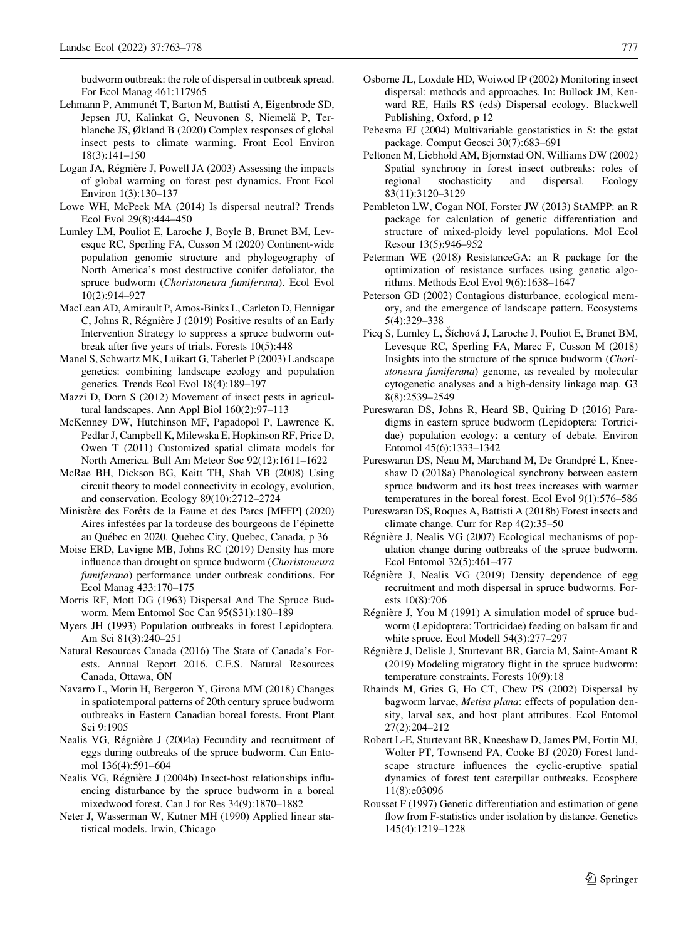<span id="page-14-0"></span>budworm outbreak: the role of dispersal in outbreak spread. For Ecol Manag 461:117965

- Lehmann P, Ammunét T, Barton M, Battisti A, Eigenbrode SD, Jepsen JU, Kalinkat G, Neuvonen S, Niemela¨ P, Terblanche JS, Økland B (2020) Complex responses of global insect pests to climate warming. Front Ecol Environ 18(3):141–150
- Logan JA, Régnière J, Powell JA (2003) Assessing the impacts of global warming on forest pest dynamics. Front Ecol Environ 1(3):130–137
- Lowe WH, McPeek MA (2014) Is dispersal neutral? Trends Ecol Evol 29(8):444–450
- Lumley LM, Pouliot E, Laroche J, Boyle B, Brunet BM, Levesque RC, Sperling FA, Cusson M (2020) Continent-wide population genomic structure and phylogeography of North America's most destructive conifer defoliator, the spruce budworm (Choristoneura fumiferana). Ecol Evol 10(2):914–927
- MacLean AD, Amirault P, Amos-Binks L, Carleton D, Hennigar C, Johns R, Régnière J (2019) Positive results of an Early Intervention Strategy to suppress a spruce budworm outbreak after five years of trials. Forests 10(5):448
- Manel S, Schwartz MK, Luikart G, Taberlet P (2003) Landscape genetics: combining landscape ecology and population genetics. Trends Ecol Evol 18(4):189–197
- Mazzi D, Dorn S (2012) Movement of insect pests in agricultural landscapes. Ann Appl Biol 160(2):97–113
- McKenney DW, Hutchinson MF, Papadopol P, Lawrence K, Pedlar J, Campbell K, Milewska E, Hopkinson RF, Price D, Owen T (2011) Customized spatial climate models for North America. Bull Am Meteor Soc 92(12):1611–1622
- McRae BH, Dickson BG, Keitt TH, Shah VB (2008) Using circuit theory to model connectivity in ecology, evolution, and conservation. Ecology 89(10):2712–2724
- Ministère des Forêts de la Faune et des Parcs [MFFP] (2020) Aires infestées par la tordeuse des bourgeons de l'épinette au Québec en 2020. Quebec City, Quebec, Canada, p 36
- Moise ERD, Lavigne MB, Johns RC (2019) Density has more influence than drought on spruce budworm (Choristoneura fumiferana) performance under outbreak conditions. For Ecol Manag 433:170–175
- Morris RF, Mott DG (1963) Dispersal And The Spruce Budworm. Mem Entomol Soc Can 95(S31):180–189
- Myers JH (1993) Population outbreaks in forest Lepidoptera. Am Sci 81(3):240–251
- Natural Resources Canada (2016) The State of Canada's Forests. Annual Report 2016. C.F.S. Natural Resources Canada, Ottawa, ON
- Navarro L, Morin H, Bergeron Y, Girona MM (2018) Changes in spatiotemporal patterns of 20th century spruce budworm outbreaks in Eastern Canadian boreal forests. Front Plant Sci 9:1905
- Nealis VG, Régnière J (2004a) Fecundity and recruitment of eggs during outbreaks of the spruce budworm. Can Entomol 136(4):591–604
- Nealis VG, Régnière J (2004b) Insect-host relationships influencing disturbance by the spruce budworm in a boreal mixedwood forest. Can J for Res 34(9):1870–1882
- Neter J, Wasserman W, Kutner MH (1990) Applied linear statistical models. Irwin, Chicago
- Osborne JL, Loxdale HD, Woiwod IP (2002) Monitoring insect dispersal: methods and approaches. In: Bullock JM, Kenward RE, Hails RS (eds) Dispersal ecology. Blackwell Publishing, Oxford, p 12
- Pebesma EJ (2004) Multivariable geostatistics in S: the gstat package. Comput Geosci 30(7):683–691
- Peltonen M, Liebhold AM, Bjornstad ON, Williams DW (2002) Spatial synchrony in forest insect outbreaks: roles of regional stochasticity and dispersal. Ecology 83(11):3120–3129
- Pembleton LW, Cogan NOI, Forster JW (2013) StAMPP: an R package for calculation of genetic differentiation and structure of mixed-ploidy level populations. Mol Ecol Resour 13(5):946–952
- Peterman WE (2018) ResistanceGA: an R package for the optimization of resistance surfaces using genetic algorithms. Methods Ecol Evol 9(6):1638–1647
- Peterson GD (2002) Contagious disturbance, ecological memory, and the emergence of landscape pattern. Ecosystems 5(4):329–338
- Picq S, Lumley L, Šíchová J, Laroche J, Pouliot E, Brunet BM, Levesque RC, Sperling FA, Marec F, Cusson M (2018) Insights into the structure of the spruce budworm (Choristoneura fumiferana) genome, as revealed by molecular cytogenetic analyses and a high-density linkage map. G3 8(8):2539–2549
- Pureswaran DS, Johns R, Heard SB, Quiring D (2016) Paradigms in eastern spruce budworm (Lepidoptera: Tortricidae) population ecology: a century of debate. Environ Entomol 45(6):1333–1342
- Pureswaran DS, Neau M, Marchand M, De Grandpré L, Kneeshaw D (2018a) Phenological synchrony between eastern spruce budworm and its host trees increases with warmer temperatures in the boreal forest. Ecol Evol 9(1):576–586
- Pureswaran DS, Roques A, Battisti A (2018b) Forest insects and climate change. Curr for Rep 4(2):35–50
- Régnière J, Nealis VG (2007) Ecological mechanisms of population change during outbreaks of the spruce budworm. Ecol Entomol 32(5):461–477
- Régnière J, Nealis VG (2019) Density dependence of egg recruitment and moth dispersal in spruce budworms. Forests 10(8):706
- Régnière J, You M (1991) A simulation model of spruce budworm (Lepidoptera: Tortricidae) feeding on balsam fir and white spruce. Ecol Modell 54(3):277–297
- Régnière J, Delisle J, Sturtevant BR, Garcia M, Saint-Amant R (2019) Modeling migratory flight in the spruce budworm: temperature constraints. Forests 10(9):18
- Rhainds M, Gries G, Ho CT, Chew PS (2002) Dispersal by bagworm larvae, Metisa plana: effects of population density, larval sex, and host plant attributes. Ecol Entomol 27(2):204–212
- Robert L-E, Sturtevant BR, Kneeshaw D, James PM, Fortin MJ, Wolter PT, Townsend PA, Cooke BJ (2020) Forest landscape structure influences the cyclic-eruptive spatial dynamics of forest tent caterpillar outbreaks. Ecosphere 11(8):e03096
- Rousset F (1997) Genetic differentiation and estimation of gene flow from F-statistics under isolation by distance. Genetics 145(4):1219–1228